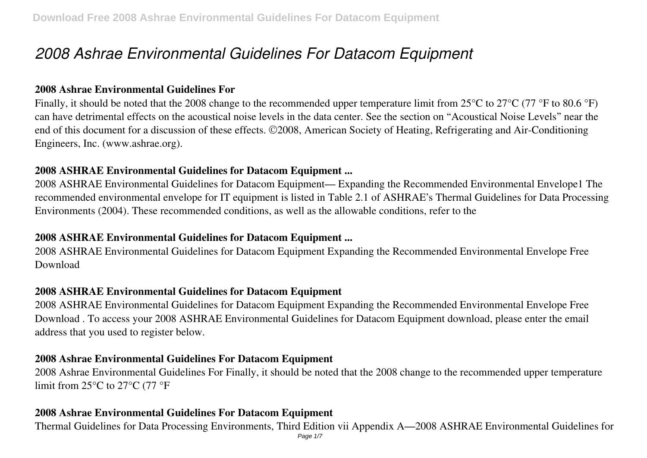# *2008 Ashrae Environmental Guidelines For Datacom Equipment*

#### **2008 Ashrae Environmental Guidelines For**

Finally, it should be noted that the 2008 change to the recommended upper temperature limit from 25°C to 27°C (77 °F to 80.6 °F) can have detrimental effects on the acoustical noise levels in the data center. See the section on "Acoustical Noise Levels" near the end of this document for a discussion of these effects. ©2008, American Society of Heating, Refrigerating and Air-Conditioning Engineers, Inc. (www.ashrae.org).

#### **2008 ASHRAE Environmental Guidelines for Datacom Equipment ...**

2008 ASHRAE Environmental Guidelines for Datacom Equipment— Expanding the Recommended Environmental Envelope1 The recommended environmental envelope for IT equipment is listed in Table 2.1 of ASHRAE's Thermal Guidelines for Data Processing Environments (2004). These recommended conditions, as well as the allowable conditions, refer to the

## **2008 ASHRAE Environmental Guidelines for Datacom Equipment ...**

2008 ASHRAE Environmental Guidelines for Datacom Equipment Expanding the Recommended Environmental Envelope Free Download

#### **2008 ASHRAE Environmental Guidelines for Datacom Equipment**

2008 ASHRAE Environmental Guidelines for Datacom Equipment Expanding the Recommended Environmental Envelope Free Download . To access your 2008 ASHRAE Environmental Guidelines for Datacom Equipment download, please enter the email address that you used to register below.

#### **2008 Ashrae Environmental Guidelines For Datacom Equipment**

2008 Ashrae Environmental Guidelines For Finally, it should be noted that the 2008 change to the recommended upper temperature limit from 25°C to 27°C (77 °F

#### **2008 Ashrae Environmental Guidelines For Datacom Equipment**

Thermal Guidelines for Data Processing Environments, Third Edition vii Appendix A—2008 ASHRAE Environmental Guidelines for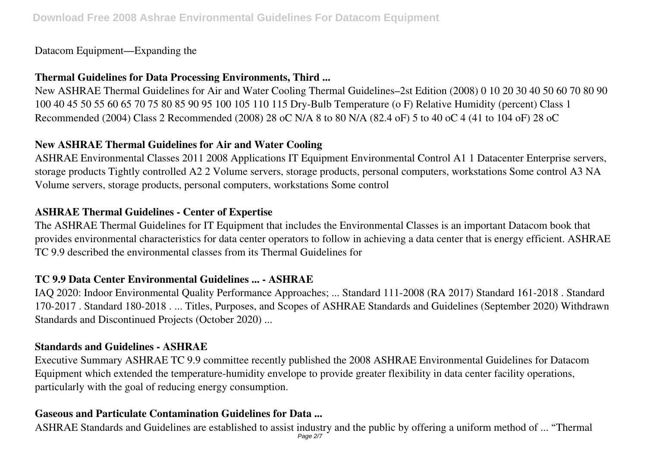Datacom Equipment—Expanding the

## **Thermal Guidelines for Data Processing Environments, Third ...**

New ASHRAE Thermal Guidelines for Air and Water Cooling Thermal Guidelines–2st Edition (2008) 0 10 20 30 40 50 60 70 80 90 100 40 45 50 55 60 65 70 75 80 85 90 95 100 105 110 115 Dry-Bulb Temperature (o F) Relative Humidity (percent) Class 1 Recommended (2004) Class 2 Recommended (2008) 28 oC N/A 8 to 80 N/A (82.4 oF) 5 to 40 oC 4 (41 to 104 oF) 28 oC

# **New ASHRAE Thermal Guidelines for Air and Water Cooling**

ASHRAE Environmental Classes 2011 2008 Applications IT Equipment Environmental Control A1 1 Datacenter Enterprise servers, storage products Tightly controlled A2 2 Volume servers, storage products, personal computers, workstations Some control A3 NA Volume servers, storage products, personal computers, workstations Some control

# **ASHRAE Thermal Guidelines - Center of Expertise**

The ASHRAE Thermal Guidelines for IT Equipment that includes the Environmental Classes is an important Datacom book that provides environmental characteristics for data center operators to follow in achieving a data center that is energy efficient. ASHRAE TC 9.9 described the environmental classes from its Thermal Guidelines for

# **TC 9.9 Data Center Environmental Guidelines ... - ASHRAE**

IAQ 2020: Indoor Environmental Quality Performance Approaches; ... Standard 111-2008 (RA 2017) Standard 161-2018 . Standard 170-2017 . Standard 180-2018 . ... Titles, Purposes, and Scopes of ASHRAE Standards and Guidelines (September 2020) Withdrawn Standards and Discontinued Projects (October 2020) ...

## **Standards and Guidelines - ASHRAE**

Executive Summary ASHRAE TC 9.9 committee recently published the 2008 ASHRAE Environmental Guidelines for Datacom Equipment which extended the temperature-humidity envelope to provide greater flexibility in data center facility operations, particularly with the goal of reducing energy consumption.

## **Gaseous and Particulate Contamination Guidelines for Data ...**

ASHRAE Standards and Guidelines are established to assist industry and the public by offering a uniform method of ... "Thermal Page 2/7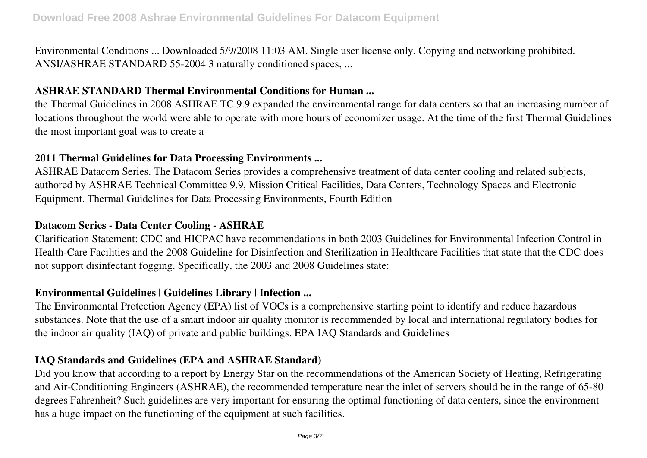Environmental Conditions ... Downloaded 5/9/2008 11:03 AM. Single user license only. Copying and networking prohibited. ANSI/ASHRAE STANDARD 55-2004 3 naturally conditioned spaces, ...

#### **ASHRAE STANDARD Thermal Environmental Conditions for Human ...**

the Thermal Guidelines in 2008 ASHRAE TC 9.9 expanded the environmental range for data centers so that an increasing number of locations throughout the world were able to operate with more hours of economizer usage. At the time of the first Thermal Guidelines the most important goal was to create a

#### **2011 Thermal Guidelines for Data Processing Environments ...**

ASHRAE Datacom Series. The Datacom Series provides a comprehensive treatment of data center cooling and related subjects, authored by ASHRAE Technical Committee 9.9, Mission Critical Facilities, Data Centers, Technology Spaces and Electronic Equipment. Thermal Guidelines for Data Processing Environments, Fourth Edition

## **Datacom Series - Data Center Cooling - ASHRAE**

Clarification Statement: CDC and HICPAC have recommendations in both 2003 Guidelines for Environmental Infection Control in Health-Care Facilities and the 2008 Guideline for Disinfection and Sterilization in Healthcare Facilities that state that the CDC does not support disinfectant fogging. Specifically, the 2003 and 2008 Guidelines state:

## **Environmental Guidelines | Guidelines Library | Infection ...**

The Environmental Protection Agency (EPA) list of VOCs is a comprehensive starting point to identify and reduce hazardous substances. Note that the use of a smart indoor air quality monitor is recommended by local and international regulatory bodies for the indoor air quality (IAQ) of private and public buildings. EPA IAQ Standards and Guidelines

## **IAQ Standards and Guidelines (EPA and ASHRAE Standard)**

Did you know that according to a report by Energy Star on the recommendations of the American Society of Heating, Refrigerating and Air-Conditioning Engineers (ASHRAE), the recommended temperature near the inlet of servers should be in the range of 65-80 degrees Fahrenheit? Such guidelines are very important for ensuring the optimal functioning of data centers, since the environment has a huge impact on the functioning of the equipment at such facilities.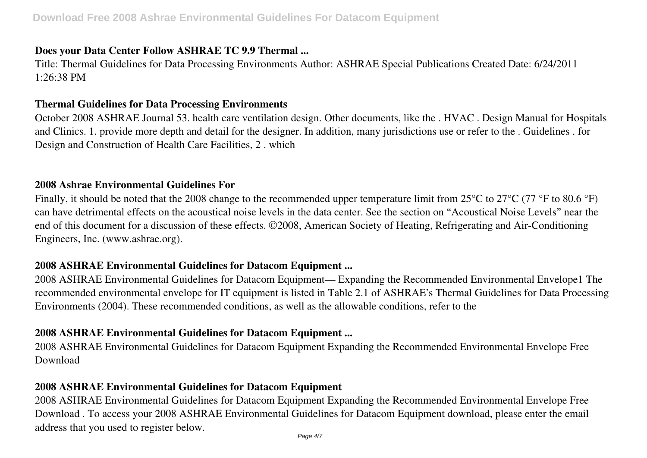#### **Does your Data Center Follow ASHRAE TC 9.9 Thermal ...**

Title: Thermal Guidelines for Data Processing Environments Author: ASHRAE Special Publications Created Date: 6/24/2011  $1.26.38 \text{ PM}$ 

#### **Thermal Guidelines for Data Processing Environments**

October 2008 ASHRAE Journal 53. health care ventilation design. Other documents, like the . HVAC . Design Manual for Hospitals and Clinics. 1. provide more depth and detail for the designer. In addition, many jurisdictions use or refer to the . Guidelines . for Design and Construction of Health Care Facilities, 2 . which

#### **2008 Ashrae Environmental Guidelines For**

Finally, it should be noted that the 2008 change to the recommended upper temperature limit from 25°C to 27°C (77 °F to 80.6 °F) can have detrimental effects on the acoustical noise levels in the data center. See the section on "Acoustical Noise Levels" near the end of this document for a discussion of these effects. ©2008, American Society of Heating, Refrigerating and Air-Conditioning Engineers, Inc. (www.ashrae.org).

#### **2008 ASHRAE Environmental Guidelines for Datacom Equipment ...**

2008 ASHRAE Environmental Guidelines for Datacom Equipment— Expanding the Recommended Environmental Envelope1 The recommended environmental envelope for IT equipment is listed in Table 2.1 of ASHRAE's Thermal Guidelines for Data Processing Environments (2004). These recommended conditions, as well as the allowable conditions, refer to the

#### **2008 ASHRAE Environmental Guidelines for Datacom Equipment ...**

2008 ASHRAE Environmental Guidelines for Datacom Equipment Expanding the Recommended Environmental Envelope Free Download

#### **2008 ASHRAE Environmental Guidelines for Datacom Equipment**

2008 ASHRAE Environmental Guidelines for Datacom Equipment Expanding the Recommended Environmental Envelope Free Download . To access your 2008 ASHRAE Environmental Guidelines for Datacom Equipment download, please enter the email address that you used to register below.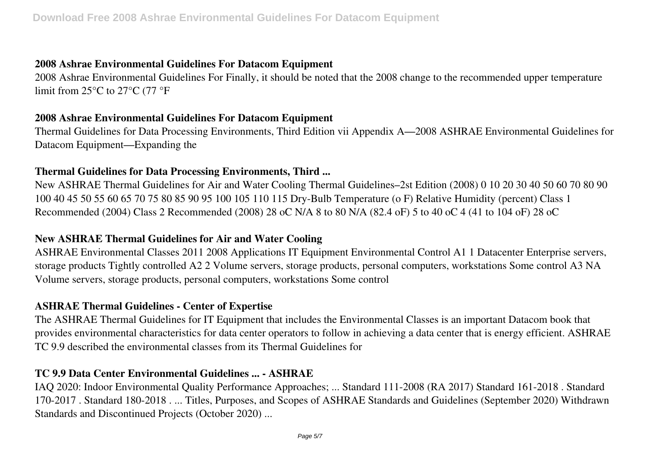## **2008 Ashrae Environmental Guidelines For Datacom Equipment**

2008 Ashrae Environmental Guidelines For Finally, it should be noted that the 2008 change to the recommended upper temperature limit from 25°C to 27°C (77 °F

#### **2008 Ashrae Environmental Guidelines For Datacom Equipment**

Thermal Guidelines for Data Processing Environments, Third Edition vii Appendix A—2008 ASHRAE Environmental Guidelines for Datacom Equipment—Expanding the

## **Thermal Guidelines for Data Processing Environments, Third ...**

New ASHRAE Thermal Guidelines for Air and Water Cooling Thermal Guidelines–2st Edition (2008) 0 10 20 30 40 50 60 70 80 90 100 40 45 50 55 60 65 70 75 80 85 90 95 100 105 110 115 Dry-Bulb Temperature (o F) Relative Humidity (percent) Class 1 Recommended (2004) Class 2 Recommended (2008) 28 oC N/A 8 to 80 N/A (82.4 oF) 5 to 40 oC 4 (41 to 104 oF) 28 oC

#### **New ASHRAE Thermal Guidelines for Air and Water Cooling**

ASHRAE Environmental Classes 2011 2008 Applications IT Equipment Environmental Control A1 1 Datacenter Enterprise servers, storage products Tightly controlled A2 2 Volume servers, storage products, personal computers, workstations Some control A3 NA Volume servers, storage products, personal computers, workstations Some control

## **ASHRAE Thermal Guidelines - Center of Expertise**

The ASHRAE Thermal Guidelines for IT Equipment that includes the Environmental Classes is an important Datacom book that provides environmental characteristics for data center operators to follow in achieving a data center that is energy efficient. ASHRAE TC 9.9 described the environmental classes from its Thermal Guidelines for

## **TC 9.9 Data Center Environmental Guidelines ... - ASHRAE**

IAQ 2020: Indoor Environmental Quality Performance Approaches; ... Standard 111-2008 (RA 2017) Standard 161-2018 . Standard 170-2017 . Standard 180-2018 . ... Titles, Purposes, and Scopes of ASHRAE Standards and Guidelines (September 2020) Withdrawn Standards and Discontinued Projects (October 2020) ...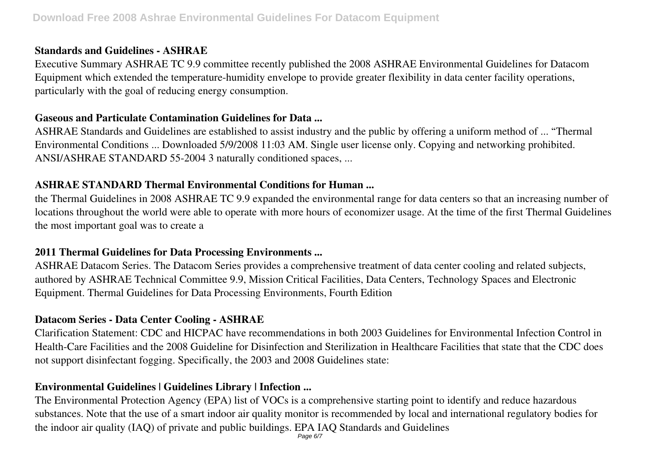#### **Standards and Guidelines - ASHRAE**

Executive Summary ASHRAE TC 9.9 committee recently published the 2008 ASHRAE Environmental Guidelines for Datacom Equipment which extended the temperature-humidity envelope to provide greater flexibility in data center facility operations, particularly with the goal of reducing energy consumption.

#### **Gaseous and Particulate Contamination Guidelines for Data ...**

ASHRAE Standards and Guidelines are established to assist industry and the public by offering a uniform method of ... "Thermal Environmental Conditions ... Downloaded 5/9/2008 11:03 AM. Single user license only. Copying and networking prohibited. ANSI/ASHRAE STANDARD 55-2004 3 naturally conditioned spaces, ...

## **ASHRAE STANDARD Thermal Environmental Conditions for Human ...**

the Thermal Guidelines in 2008 ASHRAE TC 9.9 expanded the environmental range for data centers so that an increasing number of locations throughout the world were able to operate with more hours of economizer usage. At the time of the first Thermal Guidelines the most important goal was to create a

## **2011 Thermal Guidelines for Data Processing Environments ...**

ASHRAE Datacom Series. The Datacom Series provides a comprehensive treatment of data center cooling and related subjects, authored by ASHRAE Technical Committee 9.9, Mission Critical Facilities, Data Centers, Technology Spaces and Electronic Equipment. Thermal Guidelines for Data Processing Environments, Fourth Edition

# **Datacom Series - Data Center Cooling - ASHRAE**

Clarification Statement: CDC and HICPAC have recommendations in both 2003 Guidelines for Environmental Infection Control in Health-Care Facilities and the 2008 Guideline for Disinfection and Sterilization in Healthcare Facilities that state that the CDC does not support disinfectant fogging. Specifically, the 2003 and 2008 Guidelines state:

# **Environmental Guidelines | Guidelines Library | Infection ...**

The Environmental Protection Agency (EPA) list of VOCs is a comprehensive starting point to identify and reduce hazardous substances. Note that the use of a smart indoor air quality monitor is recommended by local and international regulatory bodies for the indoor air quality (IAQ) of private and public buildings. EPA IAQ Standards and Guidelines Page 6/7